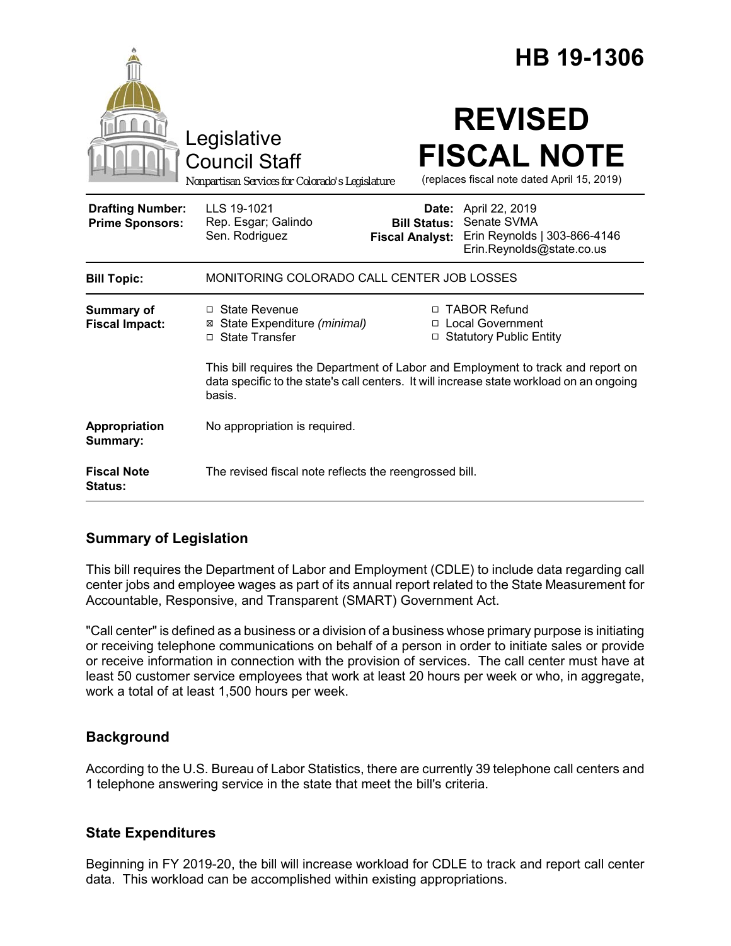|                                                   |                                                                                                                                                                                        |                                               | HB 19-1306                                                                                              |
|---------------------------------------------------|----------------------------------------------------------------------------------------------------------------------------------------------------------------------------------------|-----------------------------------------------|---------------------------------------------------------------------------------------------------------|
|                                                   | Legislative<br><b>Council Staff</b><br>Nonpartisan Services for Colorado's Legislature                                                                                                 |                                               | <b>REVISED</b><br><b>FISCAL NOTE</b><br>(replaces fiscal note dated April 15, 2019)                     |
| <b>Drafting Number:</b><br><b>Prime Sponsors:</b> | LLS 19-1021<br>Rep. Esgar; Galindo<br>Sen. Rodriguez                                                                                                                                   | <b>Bill Status:</b><br><b>Fiscal Analyst:</b> | <b>Date:</b> April 22, 2019<br>Senate SVMA<br>Erin Reynolds   303-866-4146<br>Erin.Reynolds@state.co.us |
| <b>Bill Topic:</b>                                | MONITORING COLORADO CALL CENTER JOB LOSSES                                                                                                                                             |                                               |                                                                                                         |
| <b>Summary of</b><br><b>Fiscal Impact:</b>        | $\Box$ State Revenue<br>⊠ State Expenditure (minimal)<br>□ State Transfer                                                                                                              | □                                             | □ TABOR Refund<br>□ Local Government<br><b>Statutory Public Entity</b>                                  |
|                                                   | This bill requires the Department of Labor and Employment to track and report on<br>data specific to the state's call centers. It will increase state workload on an ongoing<br>basis. |                                               |                                                                                                         |
| Appropriation<br>Summary:                         | No appropriation is required.                                                                                                                                                          |                                               |                                                                                                         |
| <b>Fiscal Note</b><br>Status:                     | The revised fiscal note reflects the reengrossed bill.                                                                                                                                 |                                               |                                                                                                         |

## **Summary of Legislation**

This bill requires the Department of Labor and Employment (CDLE) to include data regarding call center jobs and employee wages as part of its annual report related to the State Measurement for Accountable, Responsive, and Transparent (SMART) Government Act.

"Call center" is defined as a business or a division of a business whose primary purpose is initiating or receiving telephone communications on behalf of a person in order to initiate sales or provide or receive information in connection with the provision of services. The call center must have at least 50 customer service employees that work at least 20 hours per week or who, in aggregate, work a total of at least 1,500 hours per week.

## **Background**

According to the U.S. Bureau of Labor Statistics, there are currently 39 telephone call centers and 1 telephone answering service in the state that meet the bill's criteria.

## **State Expenditures**

Beginning in FY 2019-20, the bill will increase workload for CDLE to track and report call center data. This workload can be accomplished within existing appropriations.